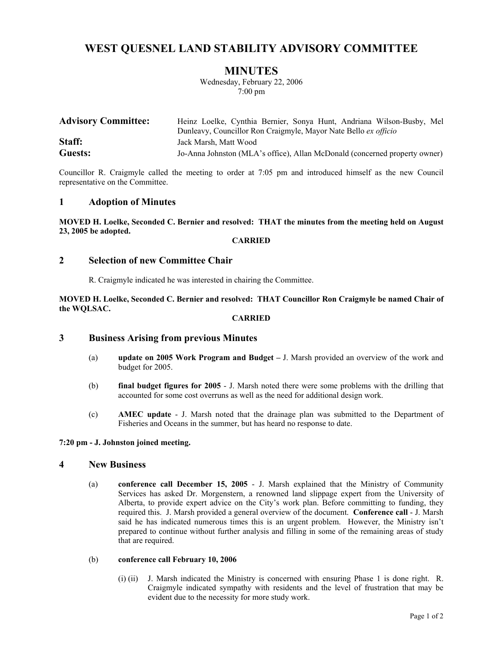# **WEST QUESNEL LAND STABILITY ADVISORY COMMITTEE**

# **MINUTES**

Wednesday, February 22, 2006 7:00 pm

| <b>Advisory Committee:</b> | Heinz Loelke, Cynthia Bernier, Sonya Hunt, Andriana Wilson-Busby, Mel      |
|----------------------------|----------------------------------------------------------------------------|
|                            | Dunleavy, Councillor Ron Craigmyle, Mayor Nate Bello ex officio            |
| Staff:                     | Jack Marsh, Matt Wood                                                      |
| <b>Guests:</b>             | Jo-Anna Johnston (MLA's office), Allan McDonald (concerned property owner) |

Councillor R. Craigmyle called the meeting to order at 7:05 pm and introduced himself as the new Council representative on the Committee.

### **1 Adoption of Minutes**

**MOVED H. Loelke, Seconded C. Bernier and resolved: THAT the minutes from the meeting held on August 23, 2005 be adopted.** 

#### **CARRIED**

# **2 Selection of new Committee Chair**

R. Craigmyle indicated he was interested in chairing the Committee.

**MOVED H. Loelke, Seconded C. Bernier and resolved: THAT Councillor Ron Craigmyle be named Chair of the WQLSAC.** 

#### **CARRIED**

# **3 Business Arising from previous Minutes**

- (a) **update on 2005 Work Program and Budget** J. Marsh provided an overview of the work and budget for 2005.
- (b) **final budget figures for 2005** J. Marsh noted there were some problems with the drilling that accounted for some cost overruns as well as the need for additional design work.
- (c) **AMEC update** J. Marsh noted that the drainage plan was submitted to the Department of Fisheries and Oceans in the summer, but has heard no response to date.

#### **7:20 pm - J. Johnston joined meeting.**

### **4 New Business**

(a) **conference call December 15, 2005** - J. Marsh explained that the Ministry of Community Services has asked Dr. Morgenstern, a renowned land slippage expert from the University of Alberta, to provide expert advice on the City's work plan. Before committing to funding, they required this. J. Marsh provided a general overview of the document. **Conference call** - J. Marsh said he has indicated numerous times this is an urgent problem. However, the Ministry isn't prepared to continue without further analysis and filling in some of the remaining areas of study that are required.

#### (b) **conference call February 10, 2006**

(i) (ii) J. Marsh indicated the Ministry is concerned with ensuring Phase 1 is done right. R. Craigmyle indicated sympathy with residents and the level of frustration that may be evident due to the necessity for more study work.